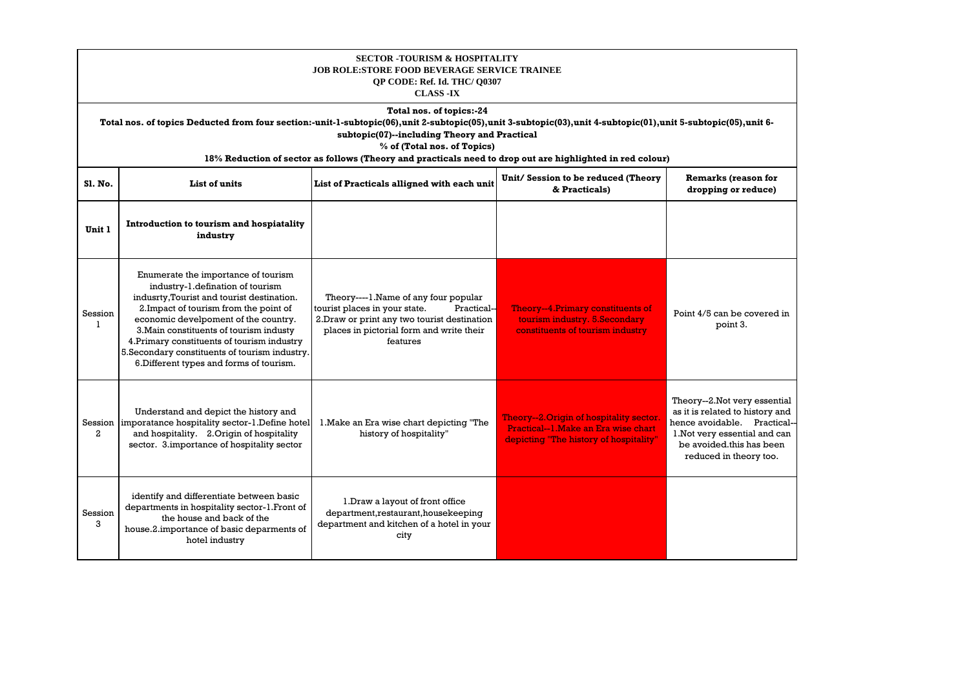| <b>SECTOR -TOURISM &amp; HOSPITALITY</b><br><b>JOB ROLE:STORE FOOD BEVERAGE SERVICE TRAINEE</b><br>OP CODE: Ref. Id. THC/ 00307<br><b>CLASS -IX</b>                                                                                                                                                                                                                                  |                                                                                                                                                                                                                                                                                                                                                                                                 |                                                                                                                                                                                              |                                                                                                                           |                                                                                                                                                                                        |  |
|--------------------------------------------------------------------------------------------------------------------------------------------------------------------------------------------------------------------------------------------------------------------------------------------------------------------------------------------------------------------------------------|-------------------------------------------------------------------------------------------------------------------------------------------------------------------------------------------------------------------------------------------------------------------------------------------------------------------------------------------------------------------------------------------------|----------------------------------------------------------------------------------------------------------------------------------------------------------------------------------------------|---------------------------------------------------------------------------------------------------------------------------|----------------------------------------------------------------------------------------------------------------------------------------------------------------------------------------|--|
| Total nos. of topics:-24<br>Total nos. of topics Deducted from four section:-unit-1-subtopic(06),unit 2-subtopic(05),unit 3-subtopic(03),unit 4-subtopic(01),unit 5-subtopic(05),unit 6-<br>subtopic(07)--including Theory and Practical<br>% of (Total nos. of Topics)<br>18% Reduction of sector as follows (Theory and practicals need to drop out are highlighted in red colour) |                                                                                                                                                                                                                                                                                                                                                                                                 |                                                                                                                                                                                              |                                                                                                                           |                                                                                                                                                                                        |  |
| <b>S1. No.</b>                                                                                                                                                                                                                                                                                                                                                                       | Unit/Session to be reduced (Theory<br><b>Remarks (reason for</b><br>List of units<br>List of Practicals alligned with each unit<br>& Practicals)<br>dropping or reduce)                                                                                                                                                                                                                         |                                                                                                                                                                                              |                                                                                                                           |                                                                                                                                                                                        |  |
| Unit 1                                                                                                                                                                                                                                                                                                                                                                               | Introduction to tourism and hospiatality<br>industry                                                                                                                                                                                                                                                                                                                                            |                                                                                                                                                                                              |                                                                                                                           |                                                                                                                                                                                        |  |
| Session<br>$\mathbf{1}$                                                                                                                                                                                                                                                                                                                                                              | Enumerate the importance of tourism<br>industry-1.defination of tourism<br>indusrty, Tourist and tourist destination.<br>2. Impact of tourism from the point of<br>economic develpoment of the country.<br>3. Main constituents of tourism industy<br>4. Primary constituents of tourism industry<br>5. Secondary constituents of tourism industry.<br>6. Different types and forms of tourism. | Theory----1. Name of any four popular<br>tourist places in your state.<br>Practical-<br>2. Draw or print any two tourist destination<br>places in pictorial form and write their<br>features | Theory--4.Primary constituents of<br>tourism industry. 5.Secondary<br>constituents of tourism industry                    | Point 4/5 can be covered in<br>point 3.                                                                                                                                                |  |
| Session  <br>$\overline{a}$                                                                                                                                                                                                                                                                                                                                                          | Understand and depict the history and<br>imporatance hospitality sector-1.Define hotel<br>and hospitality. 2. Origin of hospitality<br>sector. 3.importance of hospitality sector                                                                                                                                                                                                               | 1. Make an Era wise chart depicting "The<br>history of hospitality"                                                                                                                          | Theory--2.Origin of hospitality sector.<br>Practical--1. Make an Era wise chart<br>depicting "The history of hospitality" | Theory--2.Not very essential<br>as it is related to history and<br>hence avoidable. Practical--<br>1. Not very essential and can<br>be avoided this has been<br>reduced in theory too. |  |
| Session<br>3                                                                                                                                                                                                                                                                                                                                                                         | identify and differentiate between basic<br>departments in hospitality sector-1. Front of<br>the house and back of the<br>house.2.importance of basic deparments of<br>hotel industry                                                                                                                                                                                                           | 1. Draw a layout of front office<br>department, restaurant, housekeeping<br>department and kitchen of a hotel in your<br>city                                                                |                                                                                                                           |                                                                                                                                                                                        |  |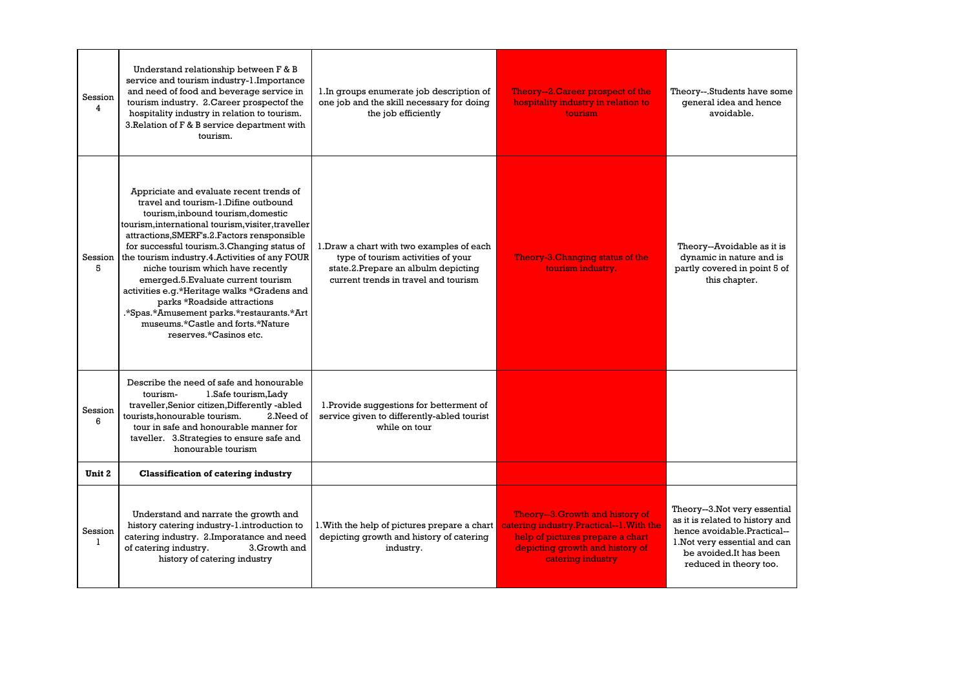| Session<br>4            | Understand relationship between F & B<br>service and tourism industry-1.Importance<br>and need of food and beverage service in<br>tourism industry. 2. Career prospectof the<br>hospitality industry in relation to tourism.<br>3. Relation of F & B service department with<br>tourism.                                                                                                                                                                                                                                                                                                           | 1. In groups enumerate job description of<br>one job and the skill necessary for doing<br>the job efficiently                                                  | Theory-2. Career prospect of the<br>hospitality industry in relation to<br><b>tourism</b>                                                                                | Theory--.Students have some<br>general idea and hence<br>avoidable.                                                                                                                 |
|-------------------------|----------------------------------------------------------------------------------------------------------------------------------------------------------------------------------------------------------------------------------------------------------------------------------------------------------------------------------------------------------------------------------------------------------------------------------------------------------------------------------------------------------------------------------------------------------------------------------------------------|----------------------------------------------------------------------------------------------------------------------------------------------------------------|--------------------------------------------------------------------------------------------------------------------------------------------------------------------------|-------------------------------------------------------------------------------------------------------------------------------------------------------------------------------------|
| Session<br>5            | Appriciate and evaluate recent trends of<br>travel and tourism-1.Difine outbound<br>tourism.inbound tourism.domestic<br>tourism, international tourism, visiter, traveller<br>attractions, SMERF's.2. Factors rensponsible<br>for successful tourism.3. Changing status of<br>the tourism industry.4. Activities of any FOUR<br>niche tourism which have recently<br>emerged.5. Evaluate current tourism<br>activities e.g.*Heritage walks *Gradens and<br>parks *Roadside attractions<br>.*Spas.*Amusement parks.*restaurants.*Art<br>museums.*Castle and forts.*Nature<br>reserves.*Casinos etc. | 1. Draw a chart with two examples of each<br>type of tourism activities of your<br>state.2.Prepare an albulm depicting<br>current trends in travel and tourism | Theory-3. Changing status of the<br>tourism industry.                                                                                                                    | Theory--Avoidable as it is<br>dynamic in nature and is<br>partly covered in point 5 of<br>this chapter.                                                                             |
| Session<br>6            | Describe the need of safe and honourable<br>1.Safe tourism, Lady<br>tourism-<br>traveller, Senior citizen, Differently -abled<br>tourists.honourable tourism.<br>2. Need of<br>tour in safe and honourable manner for<br>taveller. 3.Strategies to ensure safe and<br>honourable tourism                                                                                                                                                                                                                                                                                                           | 1. Provide suggestions for betterment of<br>service given to differently-abled tourist<br>while on tour                                                        |                                                                                                                                                                          |                                                                                                                                                                                     |
| Unit 2                  | <b>Classification of catering industry</b>                                                                                                                                                                                                                                                                                                                                                                                                                                                                                                                                                         |                                                                                                                                                                |                                                                                                                                                                          |                                                                                                                                                                                     |
| Session<br>$\mathbf{1}$ | Understand and narrate the growth and<br>history catering industry-1.introduction to<br>catering industry. 2.Imporatance and need<br>of catering industry.<br>3.Growth and<br>history of catering industry                                                                                                                                                                                                                                                                                                                                                                                         | 1. With the help of pictures prepare a chart<br>depicting growth and history of catering<br>industry.                                                          | Theory--3. Growth and history of<br>catering industry.Practical--1. With the<br>help of pictures prepare a chart<br>depicting growth and history of<br>catering industry | Theory--3.Not very essential<br>as it is related to history and<br>hence avoidable.Practical--<br>1. Not very essential and can<br>be avoided.It has been<br>reduced in theory too. |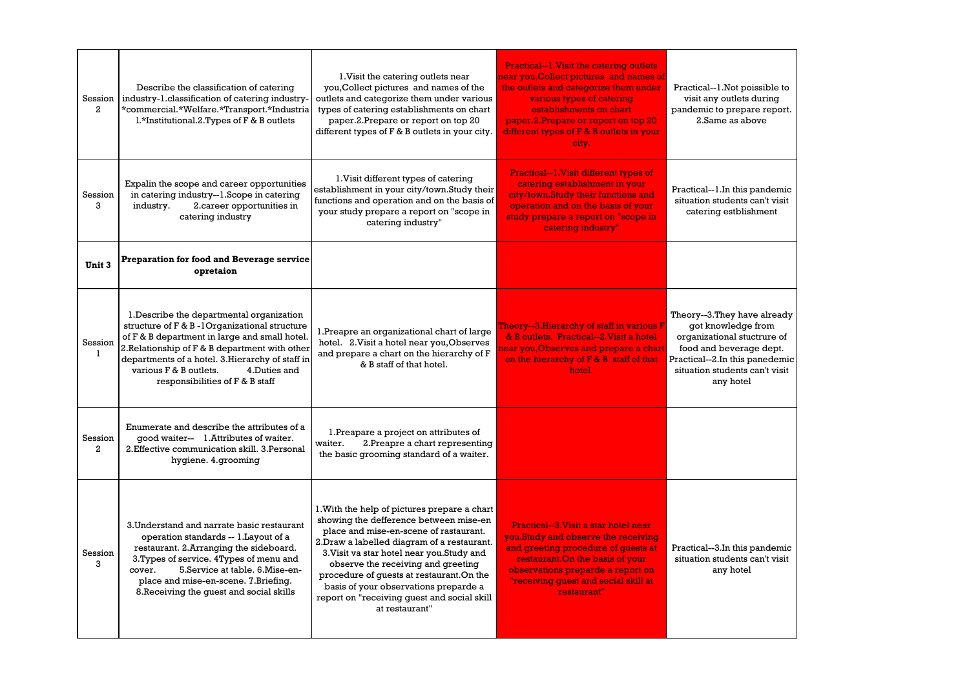| Session<br>$\mathbf{2}$   | Describe the classification of catering<br>industry-1.classification of catering industry-<br>*commercial.*Welfare.*Transport.*Industria<br>l.*Institutional.2.Types of F & B outlets                                                                                                                                          | 1. Visit the catering outlets near<br>you, Collect pictures and names of the<br>outlets and categorize them under various<br>types of catering establishments on chart<br>paper.2.Prepare or report on top 20<br>different types of F & B outlets in your city.                                                                                                                                                           | <b>Practical--1. Visit the catering outlets</b><br>near you,Collect pictures and names of<br>the outlets and categorize them under<br>various types of catering<br>establishments on chart<br>paper.2. Prepare or report on top 20<br>different types of F & B outlets in your<br>city. | Practical--1.Not poissible to<br>visit any outlets during<br>pandemic to prepare report.<br>2. Same as above                                                                                  |
|---------------------------|--------------------------------------------------------------------------------------------------------------------------------------------------------------------------------------------------------------------------------------------------------------------------------------------------------------------------------|---------------------------------------------------------------------------------------------------------------------------------------------------------------------------------------------------------------------------------------------------------------------------------------------------------------------------------------------------------------------------------------------------------------------------|-----------------------------------------------------------------------------------------------------------------------------------------------------------------------------------------------------------------------------------------------------------------------------------------|-----------------------------------------------------------------------------------------------------------------------------------------------------------------------------------------------|
| Session<br>3              | Expalin the scope and career opportunities<br>in catering industry--1.Scope in catering<br>2.career opportunities in<br>industry.<br>catering industry                                                                                                                                                                         | 1. Visit different types of catering<br>establishment in your city/town.Study their<br>functions and operation and on the basis of<br>your study prepare a report on "scope in<br>catering industry"                                                                                                                                                                                                                      | Practical--1. Visit different types of<br>catering establishment in your<br>city/town.Study their functions and<br>operation and on the basis of your<br>study prepare a report on "scope in<br>catering industry"                                                                      | Practical--1.In this pandemic<br>situation students can't visit<br>catering estblishment                                                                                                      |
| Unit 3                    | Preparation for food and Beverage service<br>opretaion                                                                                                                                                                                                                                                                         |                                                                                                                                                                                                                                                                                                                                                                                                                           |                                                                                                                                                                                                                                                                                         |                                                                                                                                                                                               |
| Session<br>$\mathbf{1}$   | 1. Describe the departmental organization<br>structure of F & B -1Organizational structure<br>of F & B department in large and small hotel.<br>2. Relationship of F & B department with other<br>departments of a hotel. 3. Hierarchy of staff in<br>various F & B outlets.<br>4.Duties and<br>responsibilities of F & B staff | 1. Preapre an organizational chart of large<br>hotel. 2. Visit a hotel near you, Observes<br>and prepare a chart on the hierarchy of F<br>& B staff of that hotel.                                                                                                                                                                                                                                                        | Theory--3.Hierarchy of staff in various F<br>& B outlets. Practical--2. Visit a hotel<br>near you,Observes and prepare a chart<br>on the hierarchy of F & B staff of that<br>hotel.                                                                                                     | Theory--3. They have already<br>got knowledge from<br>organizational stuctrure of<br>food and beverage dept.<br>Practical--2.In this panedemic<br>situation students can't visit<br>any hotel |
| Session<br>$\overline{a}$ | Enumerate and describe the attributes of a<br>good waiter-- 1. Attributes of waiter.<br>2. Effective communication skill. 3. Personal<br>hygiene. 4.grooming                                                                                                                                                                   | 1. Preapare a project on attributes of<br>waiter.<br>2. Preapre a chart representing<br>the basic grooming standard of a waiter.                                                                                                                                                                                                                                                                                          |                                                                                                                                                                                                                                                                                         |                                                                                                                                                                                               |
| Session<br>3              | 3. Understand and narrate basic restaurant<br>operation standards -- 1. Layout of a<br>restaurant. 2.Arranging the sideboard.<br>3. Types of service. 4 Types of menu and<br>cover.<br>5. Service at table. 6. Mise-en-<br>place and mise-en-scene. 7.Briefing.<br>8. Receiving the guest and social skills                    | 1. With the help of pictures prepare a chart<br>showing the defference between mise-en<br>place and mise-en-scene of rastaurant.<br>2. Draw a labelled diagram of a restaurant.<br>3. Visit va star hotel near you. Study and<br>observe the receiving and greeting<br>procedure of quests at restaurant.On the<br>basis of your observations preparde a<br>report on "receiving quest and social skill<br>at restaurant" | Practical--3. Visit a star hotel near<br>you.Study and observe the receiving<br>and greeting procedure of quests at<br>restaurant. On the basis of your<br>observations preparde a report on<br>"receiving guest and social skill at<br>restaurant"                                     | Practical--3.In this pandemic<br>situation students can't visit<br>any hotel                                                                                                                  |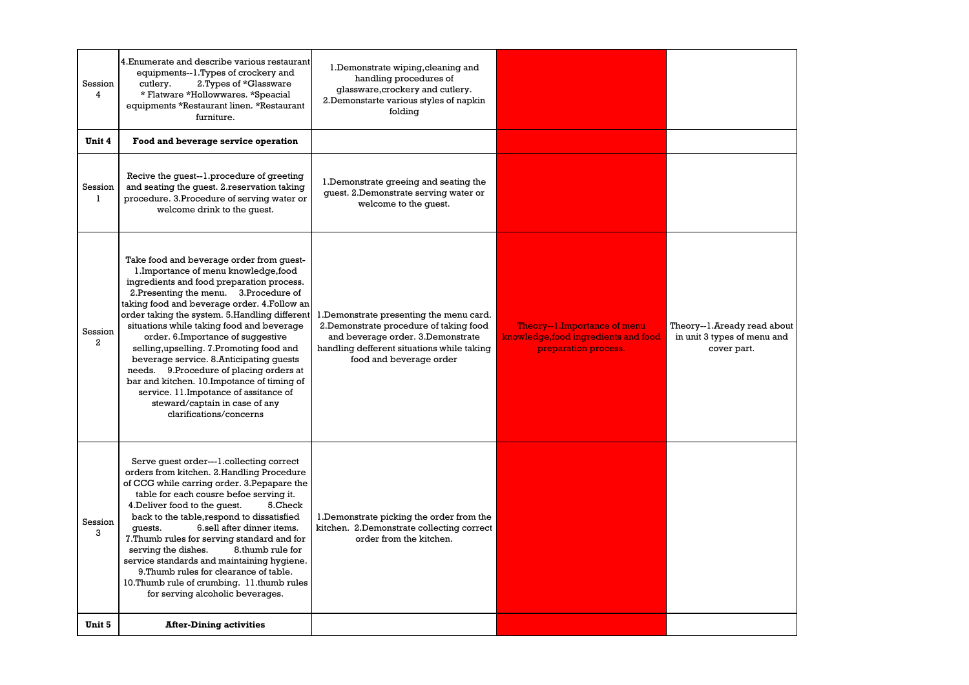| Session<br>$\overline{4}$ | 4. Enumerate and describe various restaurant<br>equipments--1.Types of crockery and<br>cutlery.<br>2. Types of *Glassware<br>* Flatware *Hollowwares. *Speacial<br>equipments *Restaurant linen. *Restaurant<br>furniture.                                                                                                                                                                                                                                                                                                                                                                                                                            | 1. Demonstrate wiping, cleaning and<br>handling procedures of<br>glassware, crockery and cutlery.<br>2.Demonstarte various styles of napkin<br>folding                                            |                                                                                               |                                                                           |
|---------------------------|-------------------------------------------------------------------------------------------------------------------------------------------------------------------------------------------------------------------------------------------------------------------------------------------------------------------------------------------------------------------------------------------------------------------------------------------------------------------------------------------------------------------------------------------------------------------------------------------------------------------------------------------------------|---------------------------------------------------------------------------------------------------------------------------------------------------------------------------------------------------|-----------------------------------------------------------------------------------------------|---------------------------------------------------------------------------|
| Unit 4                    | Food and beverage service operation                                                                                                                                                                                                                                                                                                                                                                                                                                                                                                                                                                                                                   |                                                                                                                                                                                                   |                                                                                               |                                                                           |
| Session<br>$\mathbf{1}$   | Recive the guest--1.procedure of greeting<br>and seating the quest. 2. reservation taking<br>procedure. 3. Procedure of serving water or<br>welcome drink to the quest.                                                                                                                                                                                                                                                                                                                                                                                                                                                                               | 1. Demonstrate greeing and seating the<br>guest. 2.Demonstrate serving water or<br>welcome to the guest.                                                                                          |                                                                                               |                                                                           |
| Session<br>$\overline{a}$ | Take food and beverage order from guest-<br>1. Importance of menu knowledge, food<br>ingredients and food preparation process.<br>2. Presenting the menu. 3. Procedure of<br>taking food and beverage order. 4.Follow an<br>order taking the system. 5.Handling different<br>situations while taking food and beverage<br>order. 6.Importance of suggestive<br>selling, upselling. 7. Promoting food and<br>beverage service. 8. Anticipating guests<br>needs. 9. Procedure of placing orders at<br>bar and kitchen. 10. Impotance of timing of<br>service. 11.Impotance of assitance of<br>steward/captain in case of any<br>clarifications/concerns | 1. Demonstrate presenting the menu card.<br>2. Demonstrate procedure of taking food<br>and beverage order. 3.Demonstrate<br>handling defferent situations while taking<br>food and beverage order | Theory--1. Importance of menu<br>knowledge, food ingredients and food<br>preparation process. | Theory--1.Aready read about<br>in unit 3 types of menu and<br>cover part. |
| Session<br>3              | Serve quest order---1.collecting correct<br>orders from kitchen. 2.Handling Procedure<br>of CCG while carring order. 3. Pepapare the<br>table for each cousre befoe serving it.<br>4. Deliver food to the quest.<br>5.Check<br>back to the table, respond to dissatisfied<br>6.sell after dinner items.<br>quests.<br>7. Thumb rules for serving standard and for<br>serving the dishes.<br>8.thumb rule for<br>service standards and maintaining hygiene.<br>9. Thumb rules for clearance of table.<br>10. Thumb rule of crumbing. 11. thumb rules<br>for serving alcoholic beverages.                                                               | 1. Demonstrate picking the order from the<br>kitchen. 2.Demonstrate collecting correct<br>order from the kitchen.                                                                                 |                                                                                               |                                                                           |
| Unit 5                    | <b>After-Dining activities</b>                                                                                                                                                                                                                                                                                                                                                                                                                                                                                                                                                                                                                        |                                                                                                                                                                                                   |                                                                                               |                                                                           |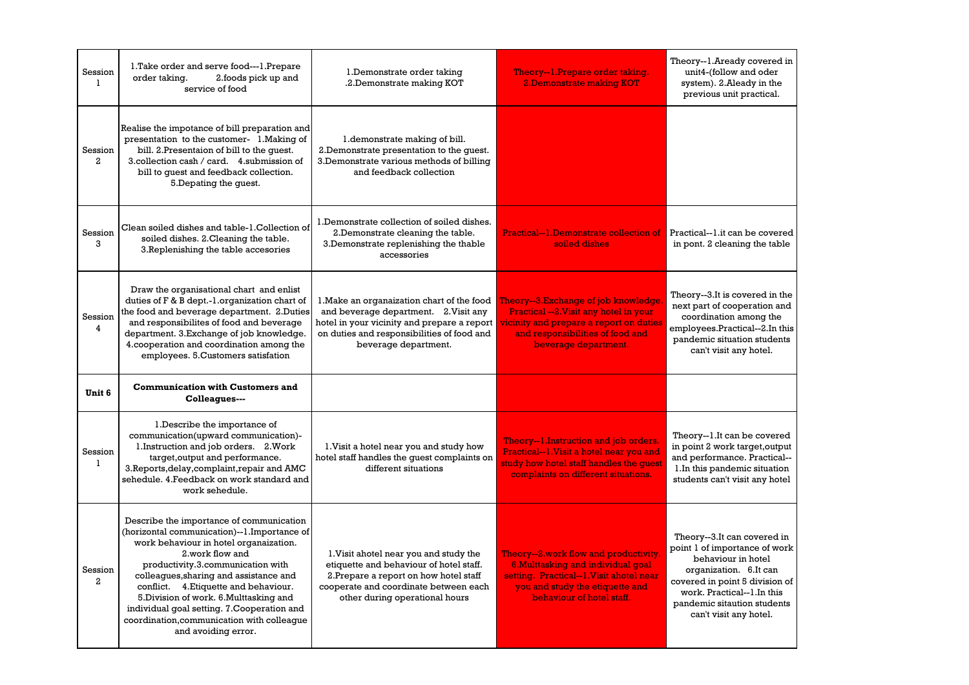| Session<br>$\mathbf{1}$   | 1. Take order and serve food---1. Prepare<br>2.foods pick up and<br>order taking.<br>service of food                                                                                                                                                                                                                                                                                                                 | 1. Demonstrate order taking<br>.2. Demonstrate making KOT                                                                                                                                                | Theory--1.Prepare order taking.<br>2. Demonstrate making KOT                                                                                                                            | Theory--1.Aready covered in<br>unit4-(follow and oder<br>system). 2.Aleady in the<br>previous unit practical.                                                                                                                         |
|---------------------------|----------------------------------------------------------------------------------------------------------------------------------------------------------------------------------------------------------------------------------------------------------------------------------------------------------------------------------------------------------------------------------------------------------------------|----------------------------------------------------------------------------------------------------------------------------------------------------------------------------------------------------------|-----------------------------------------------------------------------------------------------------------------------------------------------------------------------------------------|---------------------------------------------------------------------------------------------------------------------------------------------------------------------------------------------------------------------------------------|
| Session<br>$\overline{a}$ | Realise the impotance of bill preparation and<br>presentation to the customer- 1. Making of<br>bill. 2.Presentaion of bill to the quest.<br>3. collection cash / card. 4. submission of<br>bill to quest and feedback collection.<br>5. Depating the guest.                                                                                                                                                          | 1.demonstrate making of bill.<br>2.Demonstrate presentation to the quest.<br>3. Demonstrate various methods of billing<br>and feedback collection                                                        |                                                                                                                                                                                         |                                                                                                                                                                                                                                       |
| Session<br>3              | Clean soiled dishes and table-1.Collection of<br>soiled dishes. 2. Cleaning the table.<br>3. Replenishing the table accesories                                                                                                                                                                                                                                                                                       | 1. Demonstrate collection of soiled dishes.<br>2. Demonstrate cleaning the table.<br>3. Demonstrate replenishing the thable<br>accessories                                                               | Practical--1.Demonstrate collection of<br>soiled dishes                                                                                                                                 | Practical--1.it can be covered<br>in pont. 2 cleaning the table                                                                                                                                                                       |
| Session<br>4              | Draw the organisational chart and enlist<br>duties of F & B dept.-1.organization chart of<br>the food and beverage department. 2.Duties<br>and responsibilites of food and beverage<br>department. 3. Exchange of job knowledge.<br>4.cooperation and coordination among the<br>employees. 5. Customers satisfation                                                                                                  | 1. Make an organaization chart of the food<br>and beverage department. 2. Visit any<br>hotel in your vicinity and prepare a report<br>on duties and responsibilities of food and<br>beverage department. | Theory--3.Exchange of job knowledge<br>Practical -- 2. Visit any hotel in your<br>vicinity and prepare a report on duties<br>and responsibilities of food and<br>beverage department.   | Theory--3.It is covered in the<br>next part of cooperation and<br>coordination among the<br>employees.Practical--2.In this<br>pandemic situation students<br>can't visit any hotel.                                                   |
| Unit 6                    | <b>Communication with Customers and</b><br>Colleagues---                                                                                                                                                                                                                                                                                                                                                             |                                                                                                                                                                                                          |                                                                                                                                                                                         |                                                                                                                                                                                                                                       |
| Session<br>1              | 1. Describe the importance of<br>communication(upward communication)-<br>1. Instruction and job orders. 2. Work<br>target, output and performance.<br>3. Reports, delay, complaint, repair and AMC<br>sehedule. 4.Feedback on work standard and<br>work sehedule.                                                                                                                                                    | 1. Visit a hotel near you and study how<br>hotel staff handles the quest complaints on<br>different situations                                                                                           | Theory--1.Instruction and job orders.<br>Practical--1. Visit a hotel near you and<br>study how hotel staff handles the guest<br>complaints on different situations.                     | Theory--1.It can be covered<br>in point 2 work target, output<br>and performance. Practical--<br>1. In this pandemic situation<br>students can't visit any hotel                                                                      |
| Session<br>$\overline{a}$ | Describe the importance of communication<br>(horizontal communication)--1.Importance of<br>work behaviour in hotel organaization.<br>2.work flow and<br>productivity.3.communication with<br>colleagues, sharing and assistance and<br>conflict. 4. Etiquette and behaviour.<br>5. Division of work. 6. Multtasking and<br>individual goal setting. 7. Cooperation and<br>coordination, communication with colleague | 1. Visit ahotel near you and study the<br>etiquette and behaviour of hotel staff.<br>2. Prepare a report on how hotel staff<br>cooperate and coordinate between each<br>other during operational hours   | Theory--2.work flow and productivity.<br>6. Multtasking and individual goal<br>setting. Practical--1. Visit ahotel near<br>you and study the etiquette and<br>behaviour of hotel staff. | Theory--3.It can covered in<br>point 1 of importance of work<br>behaviour in hotel<br>organization. 6.It can<br>covered in point 5 division of<br>work. Practical--1.In this<br>pandemic sitaution students<br>can't visit any hotel. |